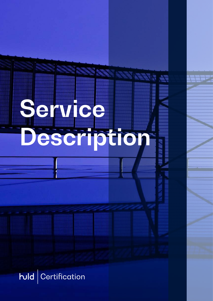

 $\mathsf{h}\mathsf{u}\mathsf{d}$  Certification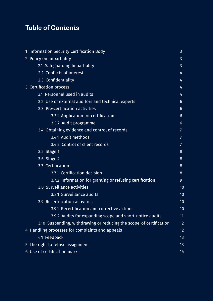# **Table of Contents**

| 1 Information Security Certification Body                           | 3              |
|---------------------------------------------------------------------|----------------|
| 2 Policy on Impartiality                                            | 3              |
| 2.1 Safeguarding Impartiality                                       | 3              |
| 2.2 Conflicts of interest                                           | 4              |
| 2.3 Confidentiality                                                 | 4              |
| 3 Certification process                                             | 4              |
| 3.1 Personnel used in audits                                        | 4              |
| 3.2 Use of external auditors and technical experts                  | 6              |
| 3.3 Pre-certification activities                                    | 6              |
| 3.3.1 Application for certification                                 | $6\phantom{1}$ |
| 3.3.2 Audit programme                                               | 6              |
| 3.4 Obtaining evidence and control of records                       | 7              |
| 3.4.1 Audit methods                                                 | 7              |
| 3.4.2 Control of client records                                     | 7              |
| 3.5 Stage 1                                                         | 8              |
| 3.6 Stage 2                                                         | 8              |
| 3.7 Certification                                                   | 8              |
| 3.7.1 Certification decision                                        | 8              |
| 3.7.2 Information for granting or refusing certification            | 9              |
| 3.8 Surveillance activities                                         | 10             |
| 3.8.1 Surveillance audits                                           | 10             |
| 3.9 Recertification activities                                      | 10             |
| 3.9.1 Recertification and corrective actions                        | 10             |
| 3.9.2 Audits for expanding scope and short-notice audits            | 11             |
| 3.10 Suspending, withdrawing or reducing the scope of certification | 12             |
| 4 Handling processes for complaints and appeals                     | 12             |
| 4.1 Feedback                                                        | 13             |
| 5 The right to refuse assignment                                    | 13             |
| 6 Use of certification marks                                        | 14             |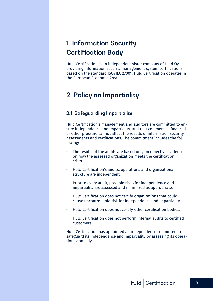# <span id="page-2-0"></span>**1 Information Security Certification Body**

Huld Certification is an independent sister company of Huld Oy providing information security management system certifications based on the standard ISO/IEC 27001. Huld Certification operates in the European Economic Area.

## **2 Policy on Impartiality**

#### **2.1 Safeguarding Impartiality**

Huld Certification's management and auditors are committed to ensure independence and impartiality, and that commercial, financial or other pressure cannot affect the results of information security assessments and certifications. The commitment includes the following:

- The results of the audits are based only on objective evidence on how the assessed organization meets the certification criteria.
- Huld Certification's audits, operations and organizational structure are independent.
- Prior to every audit, possible risks for independence and impartiality are assessed and minimized as appropriate.
- Huld Certification does not certify organizations that could cause uncontrollable risk for independence and impartiality.
- Huld Certification does not certify other certification bodies.
- Huld Certification does not perform internal audits to certified customers.

Huld Certification has appointed an independence committee to safeguard its independence and impartiality by assessing its operations annually.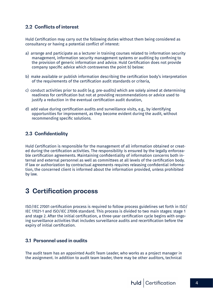## <span id="page-3-0"></span>**2.2 Conflicts of interest**

Huld Certification may carry out the following duties without them being considered as consultancy or having a potential conflict of interest:

- a) arrange and participate as a lecturer in training courses related to information security management, information security management systems or auditing by confining to the provision of generic information and advice. Huld Certification does not provide company specific advice which contravenes the point b) below:
- b) make available or publish information describing the certification body's interpretation of the requirements of the certification audit standards or criteria,
- c) conduct activities prior to audit (e.g. pre-audits) which are solely aimed at determining readiness for certification but not at providing recommendations or advice used to justify a reduction in the eventual certification audit duration,
- d) add value during certification audits and surveillance visits, e.g., by identifying opportunities for improvement, as they become evident during the audit, without recommending specific solutions.

## **2.3 Confidentiality**

Huld Certification is responsible for the management of all information obtained or created during the certification activities. The responsibility is ensured by the legally enforceable certification agreements. Maintaining confidentiality of information concerns both internal and external personnel as well as committees at all levels of the certification body. If law or authorization by contractual agreements requires releasing confidential information, the concerned client is informed about the information provided, unless prohibited by law.

## **3 Certification process**

ISO/IEC 27001 certification process is required to follow process guidelines set forth in ISO/ IEC 17021-1 and ISO/IEC 27006 standard. This process is divided to two main stages: stage 1 and stage 2. After the initial certification, a three-year certification cycle begins with ongoing surveillance activities that includes surveillance audits and recertification before the expiry of initial certification.

#### **3.1 Personnel used in audits**

The audit team has an appointed Audit Team Leader, who works as a project manager in the assignment. In addition to audit team leader, there may be other auditors, technical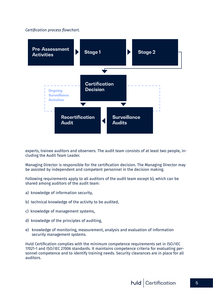#### *Certification process flowchart.*



experts, trainee auditors and observers. The audit team consists of at least two people, including the Audit Team Leader.

Managing Director is responsible for the certification decision. The Managing Director may be assisted by independent and competent personnel in the decision making.

Following requirements apply to all auditors of the audit team except b), which can be shared among auditors of the audit team:

- a) knowledge of information security,
- b) technical knowledge of the activity to be audited,
- c) knowledge of management systems,
- d) knowledge of the principles of auditing,
- e) knowledge of monitoring, measurement, analysis and evaluation of information security management systems.

Huld Certification complies with the minimum competence requirements set in ISO/IEC 17021-1 and ISO/IEC 27006 standards. It maintains competence criteria for evaluating personnel competence and to identify training needs. Security clearances are in place for all auditors.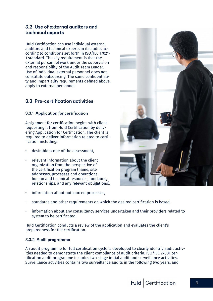## <span id="page-5-0"></span>**3.2 Use of external auditors and technical experts**

Huld Certification can use individual external auditors and technical experts in its audits according to conditions set forth in ISO/IEC 17021- 1 standard. The key requirement is that the external personnel work under the supervision and responsibility of the Audit Team Leader. Use of individual external personnel does not constitute outsourcing. The same confidentiality and impartiality requirements defined above, apply to external personnel.

## **3.3 Pre-certification activities**

#### **3.3.1 Application for certification**

Assignment for certification begins with client requesting it from Huld Certification by delivering Application for Certification. The client is required to deliver information related to certification including:

- desirable scope of the assessment.
- relevant information about the client organization from the perspective of the certification program (name, site addresses, processes and operations, human and technical resources, functions, relationships, and any relevant obligations),
- information about outsourced processes.
- standards and other requirements on which the desired certification is based,
- information about any consultancy services undertaken and their providers related to system to be certificated.

Huld Certification conducts a review of the application and evaluates the client's preparedness for the certification.

#### **3.3.2 Audit programme**

An audit programme for full certification cycle is developed to clearly identify audit activities needed to demonstrate the client compliance of audit criteria. ISO/IEC 27001 certification audit programme includes two-stage initial audit and surveillance activities. Surveillance activities contains two surveillance audits in the following two years, and

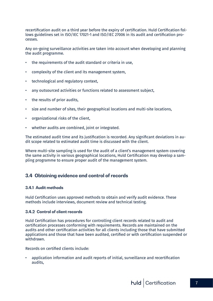<span id="page-6-0"></span>recertification audit on a third year before the expiry of certification. Huld Certification follows guidelines set in ISO/IEC 17021-1 and ISO/IEC 27006 in its audit and certification processes.

Any on-going surveillance activities are taken into account when developing and planning the audit programme.

- the requirements of the audit standard or criteria in use,
- complexity of the client and its management system,
- technological and regulatory context,
- any outsourced activities or functions related to assessment subject,
- the results of prior audits,
- size and number of sites, their geographical locations and multi-site locations,
- organizational risks of the client,
- whether audits are combined, joint or integrated.

The estimated audit time and its justification is recorded. Any significant deviations in audit scope related to estimated audit time is discussed with the client.

Where multi-site sampling is used for the audit of a client's management system covering the same activity in various geographical locations, Huld Certification may develop a sampling programme to ensure proper audit of the management system.

## **3.4 Obtaining evidence and control of records**

#### **3.4.1 Audit methods**

Huld Certification uses approved methods to obtain and verify audit evidence. These methods include interviews, document review and technical testing.

#### **3.4.2 Control of client records**

Huld Certification has procedures for controlling client records related to audit and certification processes conforming with requirements. Records are maintained on the audits and other certification activities for all clients including those that have submitted applications and those that have been audited, certified or with certification suspended or withdrawn.

Records on certified clients include:

• application information and audit reports of initial, surveillance and recertification audits,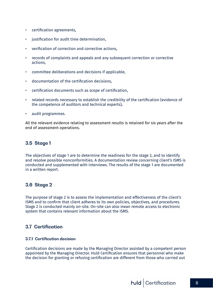- <span id="page-7-0"></span>• certification agreements,
- justification for audit time determination,
- verification of correction and corrective actions,
- records of complaints and appeals and any subsequent correction or corrective actions,
- committee deliberations and decisions if applicable,
- documentation of the certification decisions,
- certification documents such as scope of certification,
- related records necessary to establish the credibility of the certification (evidence of the competence of auditors and technical experts),
- audit programmes.

All the relevant evidence relating to assessment results is retained for six years after the end of assessment operations.

## **3.5 Stage 1**

The objectives of stage 1 are to determine the readiness for the stage 2, and to identify and resolve possible nonconformities. A documentation review concerning client's ISMS is conducted and supplemented with interviews. The results of the stage 1 are documented in a written report.

## **3.6 Stage 2**

The purpose of stage 2 is to assess the implementation and effectiveness of the client's ISMS and to confirm that client adheres to its own policies, objectives, and procedures. Stage 2 is conducted mainly on-site. On-site can also mean remote access to electronic system that contains relevant information about the ISMS.

## **3.7 Certification**

#### **3.7.1 Certification decision**

Certification decisions are made by the Managing Director assisted by a competent person appointed by the Managing Director. Huld Certification ensures that personnel who make the decision for granting or refusing certification are different from those who carried out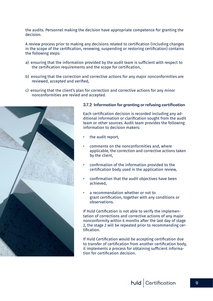<span id="page-8-0"></span>the audits. Personnel making the decision have appropriate competence for granting the decision.

A review process prior to making any decisions related to certification (including changes in the scope of the certification, renewing, suspending or restoring certification) contains the following steps:

- a) ensuring that the information provided by the audit team is sufficient with respect to the certification requirements and the scope for certification,
- b) ensuring that the correction and corrective actions for any major nonconformities are reviewed, accepted and verified,
- c) ensuring that the client's plan for correction and corrective actions for any minor nonconformities are revied and accepted.



#### **3.7.2 Information for granting or refusing certification**

Each certification decision is recorded including any additional information or clarification sought from the audit team or other sources. Audit team provides the following information to decision makers:

- the audit report.
- comments on the nonconformities and, where applicable, the correction and corrective actions taken by the client,
- confirmation of the information provided to the certification body used in the application review,
- confirmation that the audit objectives have been achieved,
- a recommendation whether or not to grant certification, together with any conditions or observations.

If Huld Certification is not able to verify the implementation of corrections and corrective actions of any major nonconformity within 6 months after the last day of stage 2, the stage 2 will be repeated prior to recommending certification.

If Huld Certification would be accepting certification due to transfer of certification from another certification body, it implements a process for obtaining sufficient information for certification decision.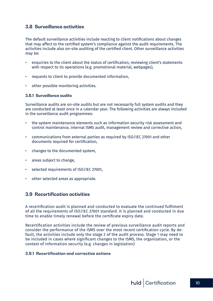## <span id="page-9-0"></span>**3.8 Surveillance activities**

The default surveillance activities include reacting to client notifications about changes that may affect to the certified system's compliance against the audit requirements. The activities include also on-site auditing of the certified client. Other surveillance activities may be:

- enquiries to the client about the status of certification, reviewing client's statements with respect to its operations (e.g. promotional material, webpages),
- requests to client to provide documented information,
- other possible monitoring activities.

#### **3.8.1 Surveillance audits**

Surveillance audits are on-site audits but are not necessarily full system audits and they are conducted at least once in a calendar year. The following activities are always included in the surveillance audit programmes:

- the system maintenance elements such as information security risk assessment and control maintenance, internal ISMS audit, management review and corrective action,
- communications from external parties as required by ISO/IEC 27001 and other documents required for certification,
- changes to the documented system,
- areas subject to change,
- selected requirements of ISO/IEC 27001.
- other selected areas as appropriate.

#### **3.9 Recertification activities**

A recertification audit is planned and conducted to evaluate the continued fulfilment of all the requirements of ISO/IEC 27001 standard. It is planned and conducted in due time to enable timely renewal before the certificate expiry date.

Recertification activities include the review of previous surveillance audit reports and consider the performance of the ISMS over the most recent certification cycle. By default, the activities include only the stage 2 of the audit process. Stage 1 may need to be included in cases where significant changes to the ISMS, the organization, or the context of information security (e.g. changes in legislation)

#### **3.9.1 Recertification and corrective actions**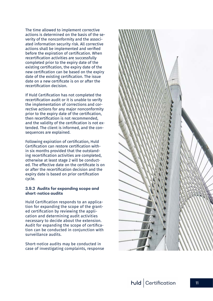<span id="page-10-0"></span>The time allowed to implement corrective actions is determined on the basis of the se verity of the nonconformity and the associ ated information security risk. All corrective actions shall be implemented and verified before the expiration of certification. When recertification activities are successfully completed prior to the expiry date of the existing certification, the expiry date of the new certification can be based on the expiry date of the existing certification. The issue date on a new certificate is on or after the recertification decision.

If Huld Certification has not completed the recertification audit or it is unable to verify the implementation of corrections and cor rective actions for any major nonconformity prior to the expiry date of the certification, then recertification is not recommended, and the validity of the certification is not ex tended. The client is informed, and the con sequences are explained.

Following expiration of certification, Huld Certification can restore certification with in six months provided that the outstand ing recertification activities are completed, otherwise at least stage 2 will be conduct ed. The effective date on the certificate is on or after the recertification decision and the expiry date is based on prior certification cycle.

#### **3.9.2 Audits for expanding scope and short-notice audits**

Huld Certification responds to an applica tion for expanding the scope of the grant ed certification by reviewing the appli cation and determining audit activities necessary to decide about the extension. Audit for expanding the scope of certifica tion can be conducted in conjunction with surveillance audits.

Short-notice audits may be conducted in case of investigating complaints, response

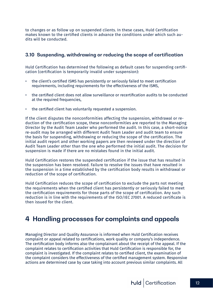<span id="page-11-0"></span>to changes or as follow up on suspended clients. In these cases, Huld Certification makes known to the certified clients in advance the conditions under which such audits will be conducted.

## **3.10 Suspending, withdrawing or reducing the scope of certification**

Huld Certification has determined the following as default cases for suspending certification (certification is temporarily invalid under suspension):

- the client's certified ISMS has persistently or seriously failed to meet certification requirements, including requirements for the effectiveness of the ISMS,
- the certified client does not allow surveillance or recertification audits to be conducted at the required frequencies,
- the certified client has voluntarily requested a suspension.

If the client disputes the nonconformities affecting the suspension, withdrawal or reduction of the certification scope, these nonconformities are reported to the Managing Director by the Audit Team Leader who performed the audit. In this case, a short-notice re-audit may be arranged with different Audit Team Leader and audit team to ensure the basis for suspending, withdrawing or reducing the scope of the certification. The initial audit report and other working papers are then reviewed under the direction of Audit Team Leader other than the one who performed the initial audit. The decision for suspension is made if there are no mistakes found in the initial audit.

Huld Certification restores the suspended certification if the issue that has resulted in the suspension has been resolved. Failure to resolve the issues that have resulted in the suspension in a time established by the certification body results in withdrawal or reduction of the scope of certification.

Huld Certification reduces the scope of certification to exclude the parts not meeting the requirements when the certified client has persistently or seriously failed to meet the certification requirements for those parts of the scope of certification. Any such reduction is in line with the requirements of the ISO/IEC 27001. A reduced certificate is then issued for the client.

## **4 Handling processes for complaints and appeals**

Managing Director and Quality Assurance is informed when Huld Certification receives complaint or appeal related to certifications, work quality or company's independence. The certification body informs also the complainant about the receipt of the appeal. If the complaint relates to certification activities that Huld Certification is responsible for, the complaint is investigated. If the complaint relates to certified client, the examination of the complaint considers the effectiveness of the certified management system. Responsive actions are determined case by case taking into account previous similar complaints. All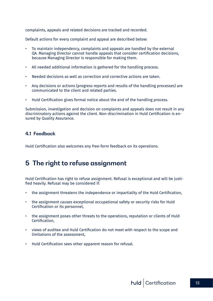<span id="page-12-0"></span>complaints, appeals and related decisions are tracked and recorded.

Default actions for every complaint and appeal are described below:

- To maintain independency, complaints and appeals are handled by the external QA. Managing Director cannot handle appeals that consider certification decisions, because Managing Director is responsible for making them.
- All needed additional information is gathered for the handling process.
- Needed decisions as well as correction and corrective actions are taken.
- Any decisions or actions (progress reports and results of the handling processes) are communicated to the client and related parties.
- Huld Certification gives formal notice about the end of the handling process.

Submission, investigation and decision on complaints and appeals does not result in any discriminatory actions against the client. Non-discrimination in Huld Certification is ensured by Quality Assurance.

## **4.1 Feedback**

Huld Certification also welcomes any free-form feedback on its operations.

## **5 The right to refuse assignment**

Huld Certification has right to refuse assignment. Refusal is exceptional and will be justified heavily. Refusal may be considered if:

- the assignment threatens the independence or impartiality of the Huld Certification,
- the assignment causes exceptional occupational safety or security risks for Huld Certification or its personnel,
- the assignment poses other threats to the operations, reputation or clients of Huld Certification,
- views of auditee and Huld Certification do not meet with respect to the scope and limitations of the assessment,
- Huld Certification sees other apparent reason for refusal.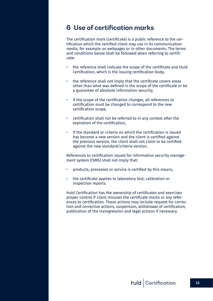## <span id="page-13-0"></span>**6 Use of certification marks**

The certification mark (certificate) is a public reference to the certification which the certified client may use in its communication media, for example on webpages or in other documents. The terms and conditions below shall be followed when referring to certificate:

- the reference shall indicate the scope of the certificate and Huld Certification, which is the issuing certification body,
- the reference shall not imply that the certificate covers areas other than what was defined in the scope of the certificate or be a guarantee of absolute information security,
- if the scope of the certification changes, all references to certification must be changed to correspond to the new certification scope,
- certification shall not be referred to in any context after the expiration of the certification,
- If the standard or criteria on which the certification is issued has become a new version and the client is certified against the previous version, the client shall not claim to be certified against the new standard/criteria version.

References to certification issued for information security management system (ISMS) shall not imply that:

- products, processes or service is certified by this means,
- the certificate applies to laboratory test, calibration or inspection reports.

Huld Certification has the ownership of certificates and exercises proper control if client misuses the certificate marks or any references to certification. These actions may include request for correction and corrective actions, suspension, withdrawal of certification, publication of the transgression and legal actions if necessary.